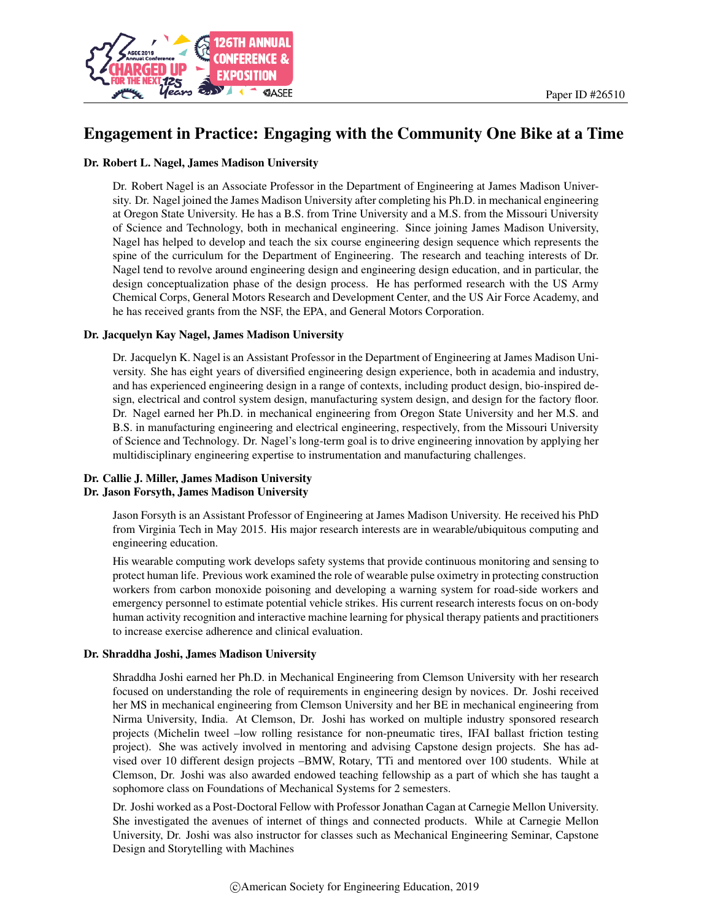

# Engagement in Practice: Engaging with the Community One Bike at a Time

#### Dr. Robert L. Nagel, James Madison University

Dr. Robert Nagel is an Associate Professor in the Department of Engineering at James Madison University. Dr. Nagel joined the James Madison University after completing his Ph.D. in mechanical engineering at Oregon State University. He has a B.S. from Trine University and a M.S. from the Missouri University of Science and Technology, both in mechanical engineering. Since joining James Madison University, Nagel has helped to develop and teach the six course engineering design sequence which represents the spine of the curriculum for the Department of Engineering. The research and teaching interests of Dr. Nagel tend to revolve around engineering design and engineering design education, and in particular, the design conceptualization phase of the design process. He has performed research with the US Army Chemical Corps, General Motors Research and Development Center, and the US Air Force Academy, and he has received grants from the NSF, the EPA, and General Motors Corporation.

#### Dr. Jacquelyn Kay Nagel, James Madison University

Dr. Jacquelyn K. Nagel is an Assistant Professor in the Department of Engineering at James Madison University. She has eight years of diversified engineering design experience, both in academia and industry, and has experienced engineering design in a range of contexts, including product design, bio-inspired design, electrical and control system design, manufacturing system design, and design for the factory floor. Dr. Nagel earned her Ph.D. in mechanical engineering from Oregon State University and her M.S. and B.S. in manufacturing engineering and electrical engineering, respectively, from the Missouri University of Science and Technology. Dr. Nagel's long-term goal is to drive engineering innovation by applying her multidisciplinary engineering expertise to instrumentation and manufacturing challenges.

#### Dr. Callie J. Miller, James Madison University Dr. Jason Forsyth, James Madison University

Jason Forsyth is an Assistant Professor of Engineering at James Madison University. He received his PhD from Virginia Tech in May 2015. His major research interests are in wearable/ubiquitous computing and engineering education.

His wearable computing work develops safety systems that provide continuous monitoring and sensing to protect human life. Previous work examined the role of wearable pulse oximetry in protecting construction workers from carbon monoxide poisoning and developing a warning system for road-side workers and emergency personnel to estimate potential vehicle strikes. His current research interests focus on on-body human activity recognition and interactive machine learning for physical therapy patients and practitioners to increase exercise adherence and clinical evaluation.

#### Dr. Shraddha Joshi, James Madison University

Shraddha Joshi earned her Ph.D. in Mechanical Engineering from Clemson University with her research focused on understanding the role of requirements in engineering design by novices. Dr. Joshi received her MS in mechanical engineering from Clemson University and her BE in mechanical engineering from Nirma University, India. At Clemson, Dr. Joshi has worked on multiple industry sponsored research projects (Michelin tweel –low rolling resistance for non-pneumatic tires, IFAI ballast friction testing project). She was actively involved in mentoring and advising Capstone design projects. She has advised over 10 different design projects –BMW, Rotary, TTi and mentored over 100 students. While at Clemson, Dr. Joshi was also awarded endowed teaching fellowship as a part of which she has taught a sophomore class on Foundations of Mechanical Systems for 2 semesters.

Dr. Joshi worked as a Post-Doctoral Fellow with Professor Jonathan Cagan at Carnegie Mellon University. She investigated the avenues of internet of things and connected products. While at Carnegie Mellon University, Dr. Joshi was also instructor for classes such as Mechanical Engineering Seminar, Capstone Design and Storytelling with Machines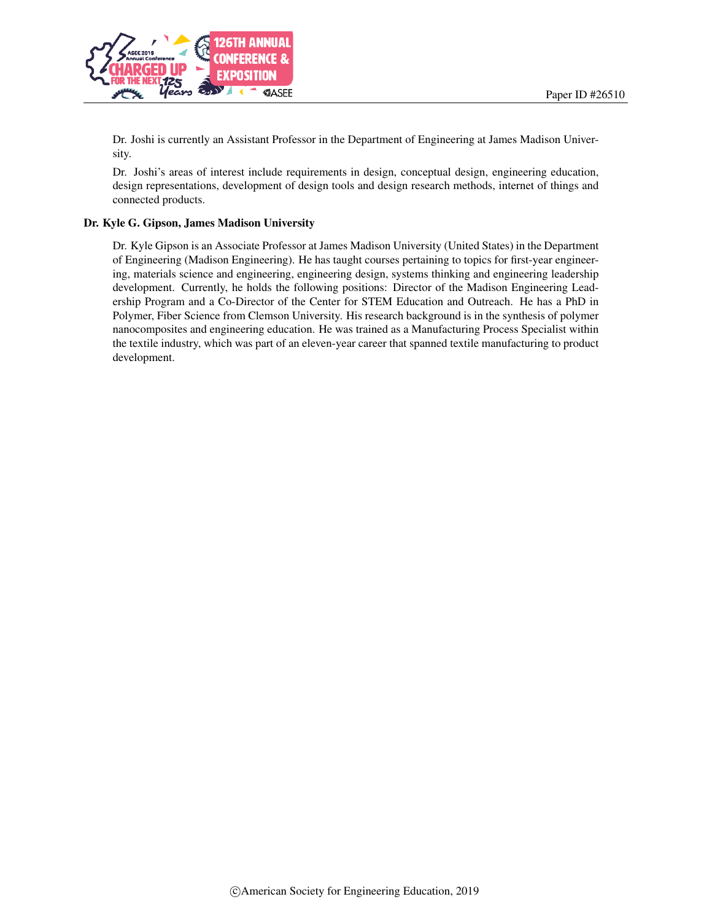

Dr. Joshi is currently an Assistant Professor in the Department of Engineering at James Madison University.

Dr. Joshi's areas of interest include requirements in design, conceptual design, engineering education, design representations, development of design tools and design research methods, internet of things and connected products.

#### Dr. Kyle G. Gipson, James Madison University

Dr. Kyle Gipson is an Associate Professor at James Madison University (United States) in the Department of Engineering (Madison Engineering). He has taught courses pertaining to topics for first-year engineering, materials science and engineering, engineering design, systems thinking and engineering leadership development. Currently, he holds the following positions: Director of the Madison Engineering Leadership Program and a Co-Director of the Center for STEM Education and Outreach. He has a PhD in Polymer, Fiber Science from Clemson University. His research background is in the synthesis of polymer nanocomposites and engineering education. He was trained as a Manufacturing Process Specialist within the textile industry, which was part of an eleven-year career that spanned textile manufacturing to product development.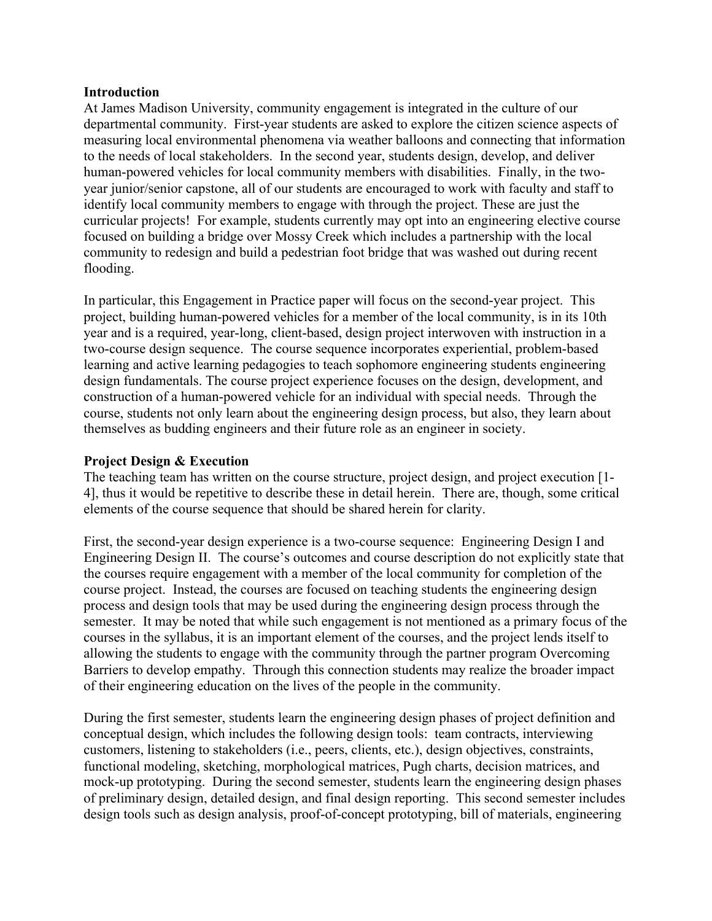#### **Introduction**

At James Madison University, community engagement is integrated in the culture of our departmental community. First-year students are asked to explore the citizen science aspects of measuring local environmental phenomena via weather balloons and connecting that information to the needs of local stakeholders. In the second year, students design, develop, and deliver human-powered vehicles for local community members with disabilities. Finally, in the twoyear junior/senior capstone, all of our students are encouraged to work with faculty and staff to identify local community members to engage with through the project. These are just the curricular projects! For example, students currently may opt into an engineering elective course focused on building a bridge over Mossy Creek which includes a partnership with the local community to redesign and build a pedestrian foot bridge that was washed out during recent flooding.

In particular, this Engagement in Practice paper will focus on the second-year project. This project, building human-powered vehicles for a member of the local community, is in its 10th year and is a required, year-long, client-based, design project interwoven with instruction in a two-course design sequence. The course sequence incorporates experiential, problem-based learning and active learning pedagogies to teach sophomore engineering students engineering design fundamentals. The course project experience focuses on the design, development, and construction of a human-powered vehicle for an individual with special needs. Through the course, students not only learn about the engineering design process, but also, they learn about themselves as budding engineers and their future role as an engineer in society.

### **Project Design & Execution**

The teaching team has written on the course structure, project design, and project execution [1- 4], thus it would be repetitive to describe these in detail herein. There are, though, some critical elements of the course sequence that should be shared herein for clarity.

First, the second-year design experience is a two-course sequence: Engineering Design I and Engineering Design II. The course's outcomes and course description do not explicitly state that the courses require engagement with a member of the local community for completion of the course project. Instead, the courses are focused on teaching students the engineering design process and design tools that may be used during the engineering design process through the semester. It may be noted that while such engagement is not mentioned as a primary focus of the courses in the syllabus, it is an important element of the courses, and the project lends itself to allowing the students to engage with the community through the partner program Overcoming Barriers to develop empathy. Through this connection students may realize the broader impact of their engineering education on the lives of the people in the community.

During the first semester, students learn the engineering design phases of project definition and conceptual design, which includes the following design tools: team contracts, interviewing customers, listening to stakeholders (i.e., peers, clients, etc.), design objectives, constraints, functional modeling, sketching, morphological matrices, Pugh charts, decision matrices, and mock-up prototyping. During the second semester, students learn the engineering design phases of preliminary design, detailed design, and final design reporting. This second semester includes design tools such as design analysis, proof-of-concept prototyping, bill of materials, engineering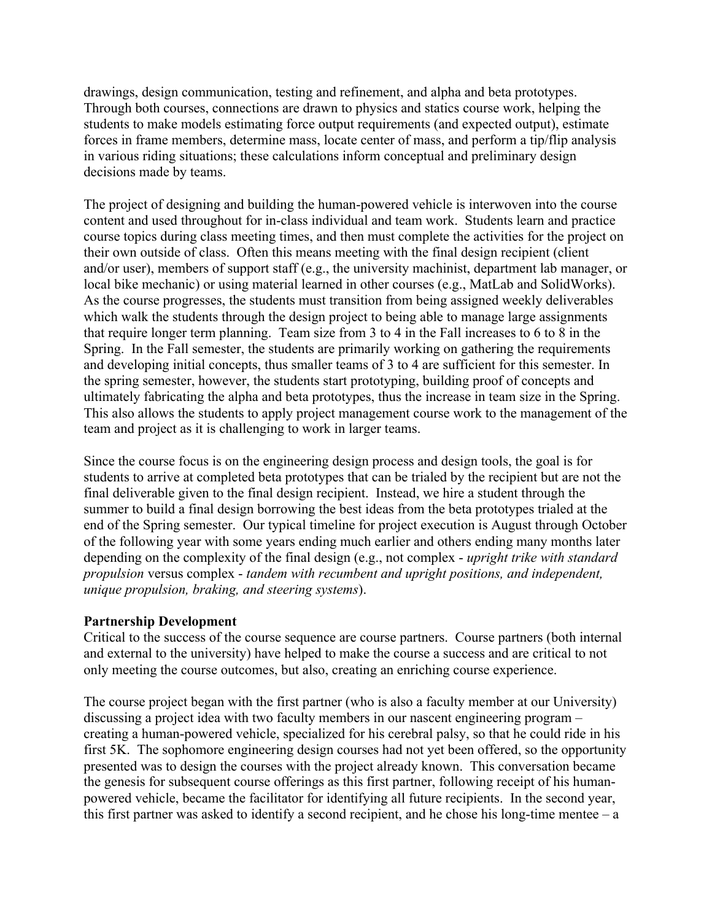drawings, design communication, testing and refinement, and alpha and beta prototypes. Through both courses, connections are drawn to physics and statics course work, helping the students to make models estimating force output requirements (and expected output), estimate forces in frame members, determine mass, locate center of mass, and perform a tip/flip analysis in various riding situations; these calculations inform conceptual and preliminary design decisions made by teams.

The project of designing and building the human-powered vehicle is interwoven into the course content and used throughout for in-class individual and team work. Students learn and practice course topics during class meeting times, and then must complete the activities for the project on their own outside of class. Often this means meeting with the final design recipient (client and/or user), members of support staff (e.g., the university machinist, department lab manager, or local bike mechanic) or using material learned in other courses (e.g., MatLab and SolidWorks). As the course progresses, the students must transition from being assigned weekly deliverables which walk the students through the design project to being able to manage large assignments that require longer term planning. Team size from 3 to 4 in the Fall increases to 6 to 8 in the Spring. In the Fall semester, the students are primarily working on gathering the requirements and developing initial concepts, thus smaller teams of 3 to 4 are sufficient for this semester. In the spring semester, however, the students start prototyping, building proof of concepts and ultimately fabricating the alpha and beta prototypes, thus the increase in team size in the Spring. This also allows the students to apply project management course work to the management of the team and project as it is challenging to work in larger teams.

Since the course focus is on the engineering design process and design tools, the goal is for students to arrive at completed beta prototypes that can be trialed by the recipient but are not the final deliverable given to the final design recipient. Instead, we hire a student through the summer to build a final design borrowing the best ideas from the beta prototypes trialed at the end of the Spring semester. Our typical timeline for project execution is August through October of the following year with some years ending much earlier and others ending many months later depending on the complexity of the final design (e.g., not complex - *upright trike with standard propulsion* versus complex - *tandem with recumbent and upright positions, and independent, unique propulsion, braking, and steering systems*).

### **Partnership Development**

Critical to the success of the course sequence are course partners. Course partners (both internal and external to the university) have helped to make the course a success and are critical to not only meeting the course outcomes, but also, creating an enriching course experience.

The course project began with the first partner (who is also a faculty member at our University) discussing a project idea with two faculty members in our nascent engineering program – creating a human-powered vehicle, specialized for his cerebral palsy, so that he could ride in his first 5K. The sophomore engineering design courses had not yet been offered, so the opportunity presented was to design the courses with the project already known. This conversation became the genesis for subsequent course offerings as this first partner, following receipt of his humanpowered vehicle, became the facilitator for identifying all future recipients. In the second year, this first partner was asked to identify a second recipient, and he chose his long-time mentee  $-a$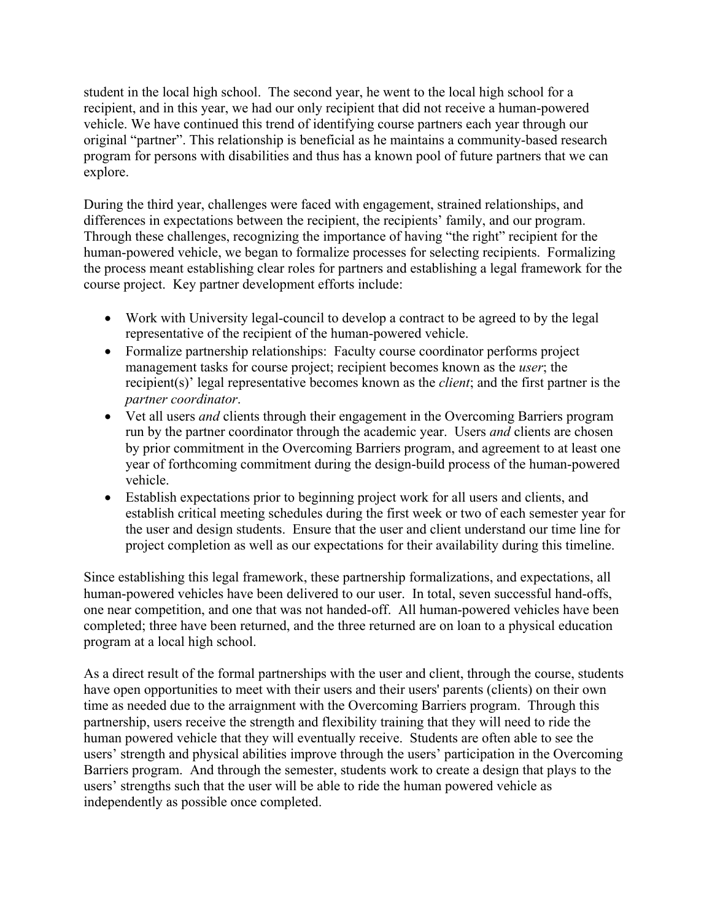student in the local high school. The second year, he went to the local high school for a recipient, and in this year, we had our only recipient that did not receive a human-powered vehicle. We have continued this trend of identifying course partners each year through our original "partner". This relationship is beneficial as he maintains a community-based research program for persons with disabilities and thus has a known pool of future partners that we can explore.

During the third year, challenges were faced with engagement, strained relationships, and differences in expectations between the recipient, the recipients' family, and our program. Through these challenges, recognizing the importance of having "the right" recipient for the human-powered vehicle, we began to formalize processes for selecting recipients. Formalizing the process meant establishing clear roles for partners and establishing a legal framework for the course project. Key partner development efforts include:

- Work with University legal-council to develop a contract to be agreed to by the legal representative of the recipient of the human-powered vehicle.
- Formalize partnership relationships: Faculty course coordinator performs project management tasks for course project; recipient becomes known as the *user*; the recipient(s)' legal representative becomes known as the *client*; and the first partner is the *partner coordinator*.
- Vet all users *and* clients through their engagement in the Overcoming Barriers program run by the partner coordinator through the academic year. Users *and* clients are chosen by prior commitment in the Overcoming Barriers program, and agreement to at least one year of forthcoming commitment during the design-build process of the human-powered vehicle.
- Establish expectations prior to beginning project work for all users and clients, and establish critical meeting schedules during the first week or two of each semester year for the user and design students. Ensure that the user and client understand our time line for project completion as well as our expectations for their availability during this timeline.

Since establishing this legal framework, these partnership formalizations, and expectations, all human-powered vehicles have been delivered to our user. In total, seven successful hand-offs, one near competition, and one that was not handed-off. All human-powered vehicles have been completed; three have been returned, and the three returned are on loan to a physical education program at a local high school.

As a direct result of the formal partnerships with the user and client, through the course, students have open opportunities to meet with their users and their users' parents (clients) on their own time as needed due to the arraignment with the Overcoming Barriers program. Through this partnership, users receive the strength and flexibility training that they will need to ride the human powered vehicle that they will eventually receive. Students are often able to see the users' strength and physical abilities improve through the users' participation in the Overcoming Barriers program. And through the semester, students work to create a design that plays to the users' strengths such that the user will be able to ride the human powered vehicle as independently as possible once completed.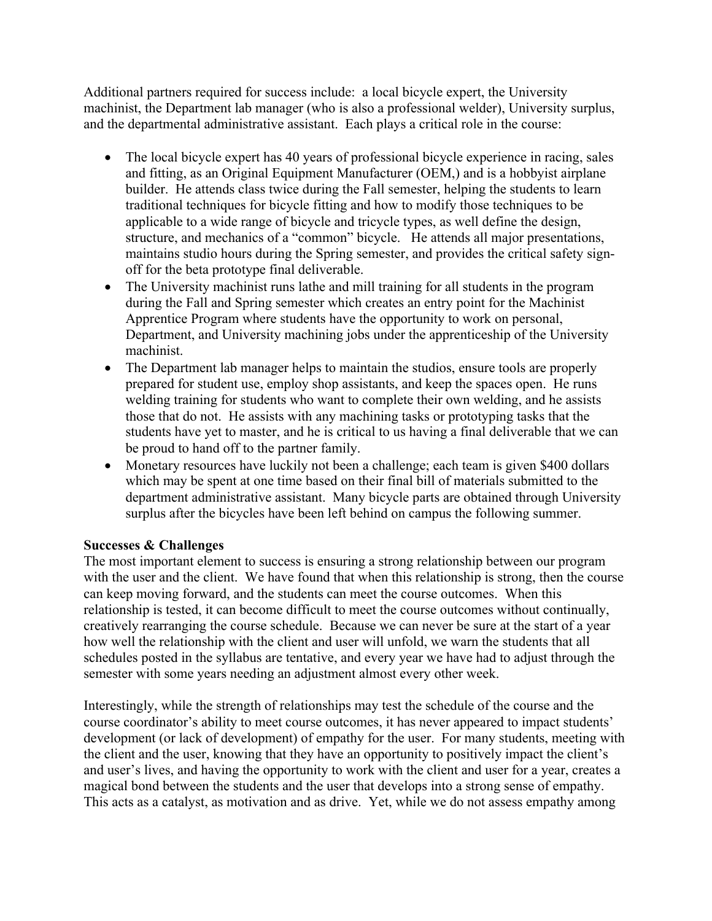Additional partners required for success include: a local bicycle expert, the University machinist, the Department lab manager (who is also a professional welder), University surplus, and the departmental administrative assistant. Each plays a critical role in the course:

- The local bicycle expert has 40 years of professional bicycle experience in racing, sales and fitting, as an Original Equipment Manufacturer (OEM,) and is a hobbyist airplane builder. He attends class twice during the Fall semester, helping the students to learn traditional techniques for bicycle fitting and how to modify those techniques to be applicable to a wide range of bicycle and tricycle types, as well define the design, structure, and mechanics of a "common" bicycle. He attends all major presentations, maintains studio hours during the Spring semester, and provides the critical safety signoff for the beta prototype final deliverable.
- The University machinist runs lathe and mill training for all students in the program during the Fall and Spring semester which creates an entry point for the Machinist Apprentice Program where students have the opportunity to work on personal, Department, and University machining jobs under the apprenticeship of the University machinist.
- The Department lab manager helps to maintain the studios, ensure tools are properly prepared for student use, employ shop assistants, and keep the spaces open. He runs welding training for students who want to complete their own welding, and he assists those that do not. He assists with any machining tasks or prototyping tasks that the students have yet to master, and he is critical to us having a final deliverable that we can be proud to hand off to the partner family.
- Monetary resources have luckily not been a challenge; each team is given \$400 dollars which may be spent at one time based on their final bill of materials submitted to the department administrative assistant. Many bicycle parts are obtained through University surplus after the bicycles have been left behind on campus the following summer.

# **Successes & Challenges**

The most important element to success is ensuring a strong relationship between our program with the user and the client. We have found that when this relationship is strong, then the course can keep moving forward, and the students can meet the course outcomes. When this relationship is tested, it can become difficult to meet the course outcomes without continually, creatively rearranging the course schedule. Because we can never be sure at the start of a year how well the relationship with the client and user will unfold, we warn the students that all schedules posted in the syllabus are tentative, and every year we have had to adjust through the semester with some years needing an adjustment almost every other week.

Interestingly, while the strength of relationships may test the schedule of the course and the course coordinator's ability to meet course outcomes, it has never appeared to impact students' development (or lack of development) of empathy for the user. For many students, meeting with the client and the user, knowing that they have an opportunity to positively impact the client's and user's lives, and having the opportunity to work with the client and user for a year, creates a magical bond between the students and the user that develops into a strong sense of empathy. This acts as a catalyst, as motivation and as drive. Yet, while we do not assess empathy among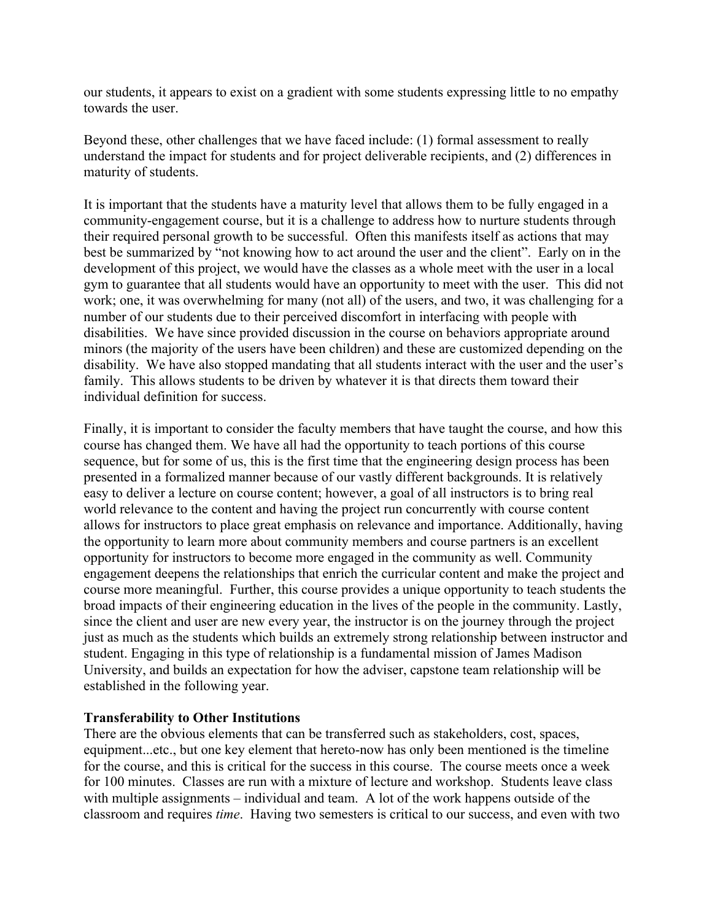our students, it appears to exist on a gradient with some students expressing little to no empathy towards the user.

Beyond these, other challenges that we have faced include: (1) formal assessment to really understand the impact for students and for project deliverable recipients, and (2) differences in maturity of students.

It is important that the students have a maturity level that allows them to be fully engaged in a community-engagement course, but it is a challenge to address how to nurture students through their required personal growth to be successful. Often this manifests itself as actions that may best be summarized by "not knowing how to act around the user and the client". Early on in the development of this project, we would have the classes as a whole meet with the user in a local gym to guarantee that all students would have an opportunity to meet with the user. This did not work; one, it was overwhelming for many (not all) of the users, and two, it was challenging for a number of our students due to their perceived discomfort in interfacing with people with disabilities. We have since provided discussion in the course on behaviors appropriate around minors (the majority of the users have been children) and these are customized depending on the disability. We have also stopped mandating that all students interact with the user and the user's family. This allows students to be driven by whatever it is that directs them toward their individual definition for success.

Finally, it is important to consider the faculty members that have taught the course, and how this course has changed them. We have all had the opportunity to teach portions of this course sequence, but for some of us, this is the first time that the engineering design process has been presented in a formalized manner because of our vastly different backgrounds. It is relatively easy to deliver a lecture on course content; however, a goal of all instructors is to bring real world relevance to the content and having the project run concurrently with course content allows for instructors to place great emphasis on relevance and importance. Additionally, having the opportunity to learn more about community members and course partners is an excellent opportunity for instructors to become more engaged in the community as well. Community engagement deepens the relationships that enrich the curricular content and make the project and course more meaningful. Further, this course provides a unique opportunity to teach students the broad impacts of their engineering education in the lives of the people in the community. Lastly, since the client and user are new every year, the instructor is on the journey through the project just as much as the students which builds an extremely strong relationship between instructor and student. Engaging in this type of relationship is a fundamental mission of James Madison University, and builds an expectation for how the adviser, capstone team relationship will be established in the following year.

### **Transferability to Other Institutions**

There are the obvious elements that can be transferred such as stakeholders, cost, spaces, equipment...etc., but one key element that hereto-now has only been mentioned is the timeline for the course, and this is critical for the success in this course. The course meets once a week for 100 minutes. Classes are run with a mixture of lecture and workshop. Students leave class with multiple assignments – individual and team. A lot of the work happens outside of the classroom and requires *time*. Having two semesters is critical to our success, and even with two